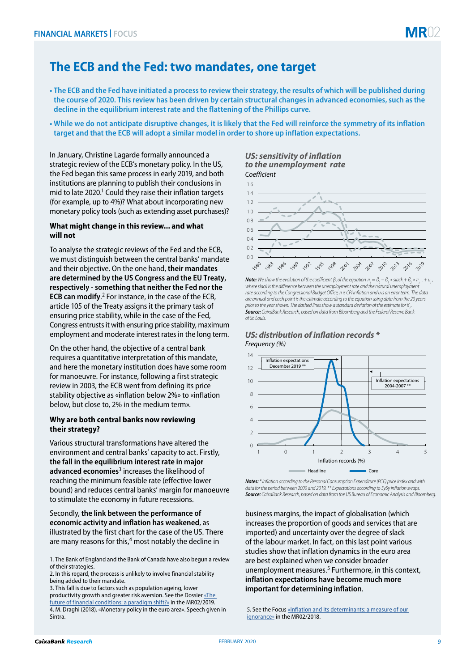# 02

## **The ECB and the Fed: two mandates, one target**

- **The ECB and the Fed have initiated a process to review their strategy, the results of which will be published during the course of 2020. This review has been driven by certain structural changes in advanced economies, such as the decline in the equilibrium interest rate and the flattening of the Phillips curve.**
- **While we do not anticipate disruptive changes, it is likely that the Fed will reinforce the symmetry of its inflation target and that the ECB will adopt a similar model in order to shore up inflation expectations.**

In January, Christine Lagarde formally announced a strategic review of the ECB's monetary policy. In the US, the Fed began this same process in early 2019, and both institutions are planning to publish their conclusions in mid to late 2020.<sup>1</sup> Could they raise their inflation targets (for example, up to 4%)? What about incorporating new monetary policy tools (such as extending asset purchases)?

#### **What might change in this review... and what will not**

To analyse the strategic reviews of the Fed and the ECB, we must distinguish between the central banks' mandate and their objective. On the one hand, **their mandates are determined by the US Congress and the EU Treaty, respectively - something that neither the Fed nor the ECB can modify**. 2 For instance, in the case of the ECB, article 105 of the Treaty assigns it the primary task of ensuring price stability, while in the case of the Fed, Congress entrusts it with ensuring price stability, maximum employment and moderate interest rates in the long term.

On the other hand, the objective of a central bank requires a quantitative interpretation of this mandate, and here the monetary institution does have some room for manoeuvre. For instance, following a first strategic review in 2003, the ECB went from defining its price stability objective as «inflation below 2%» to «inflation below, but close to, 2% in the medium term».

#### **Why are both central banks now reviewing their strategy?**

Various structural transformations have altered the environment and central banks' capacity to act. Firstly, **the fall in the equilibrium interest rate in major advanced economies**3 increases the likelihood of reaching the minimum feasible rate (effective lower bound) and reduces central banks' margin for manoeuvre to stimulate the economy in future recessions.

#### Secondly, **the link between the performance of economic activity and inflation has weakened**, as illustrated by the first chart for the case of the US. There are many reasons for this,<sup>4</sup> most notably the decline in

3. This fall is due to factors such as population ageing, lower productivity growth and greater risk aversion. See the Dossier [«The](https://www.caixabankresearch.com/en/2019-02-01-000000)  [future of financial conditions: a paradigm shift?»](https://www.caixabankresearch.com/en/2019-02-01-000000) in the MR02/2019. 4. M. Draghi (2018). «Monetary policy in the euro area». Speech given in Sintra.

#### *US: sensitivity of inflation to the unemployment rate Coefficient*



**Note:** We show the evolution of the coefficient  $\beta_1$  of the equation  $\pi_t = \beta_0 - \beta_1 * \text{slack}_{t} + \beta_2 * \pi_{t-1} + \nu_{t}$ *where slack is the difference between the unemployment rate and the natural unemployment rate according to the Congressional Budget Office, π is CPI inflation and υ is an error term. The data are annual and each point is the estimate according to the equation using data from the 20 years prior to the year shown. The dashed lines show a standard deviation of the estimate for ß. . Source: CaixaBank Research, based on data from Bloomberg and the Federal Reserve Bank of St. Louis.*

### *US: distribution of inflation records*  $*$ *Frequency (%)*



*Notes: \* Inflation according to the Personal Consumption Expenditure (PCE) price index and with data for the period between 2000 and 2019. \*\* Expectations according to 5y5y inflation swaps. Source: CaixaBank Research, based on data from the US Bureau of Economic Analysis and Bloomberg.*

business margins, the impact of globalisation (which increases the proportion of goods and services that are imported) and uncertainty over the degree of slack of the labour market. In fact, on this last point various studies show that inflation dynamics in the euro area are best explained when we consider broader unemployment measures.<sup>5</sup> Furthermore, in this context, **inflation expectations have become much more important for determining inflation**.

5. See the Focus «Inflation and its determinants: a measure of our [ignorance»](https://www.caixabankresearch.com/en/inflation-and-its-determinants-measure-our-ignorance) in the MR02/2018.

<sup>1.</sup> The Bank of England and the Bank of Canada have also begun a review of their strategies.

<sup>2.</sup> In this regard, the process is unlikely to involve financial stability being added to their mandate.